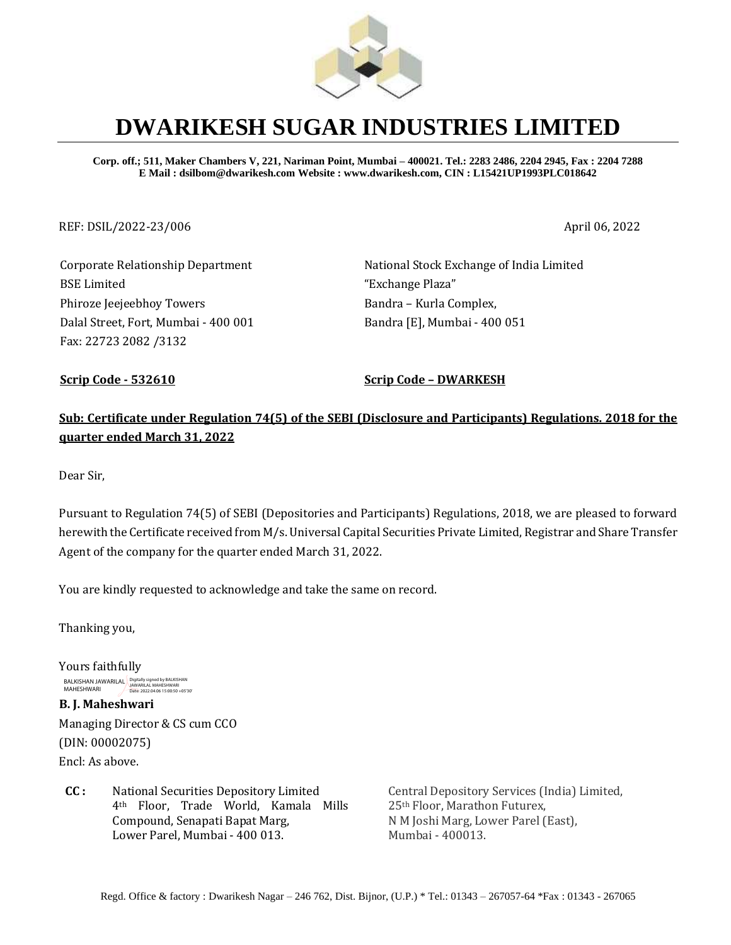

# **DWARIKESH SUGAR INDUSTRIES LIMITED**

**Corp. off.; 511, Maker Chambers V, 221, Nariman Point, Mumbai – 400021. Tel.: 2283 2486, 2204 2945, Fax : 2204 7288 E Mail : dsilbom@dwarikesh.com Website : www.dwarikesh.com, CIN : L15421UP1993PLC018642**

#### REF: DSIL/2022-23/006 April 06, 2022

Corporate Relationship Department BSE Limited Phiroze Jeejeebhoy Towers Dalal Street, Fort, Mumbai - 400 001 Fax: 22723 2082 /3132

National Stock Exchange of India Limited "Exchange Plaza" Bandra – Kurla Complex, Bandra [E], Mumbai - 400 051

**Scrip Code - 532610 Scrip Code – DWARKESH**

## **Sub: Certificate under Regulation 74(5) of the SEBI (Disclosure and Participants) Regulations. 2018 for the quarter ended March 31, 2022**

Dear Sir,

Pursuant to Regulation 74(5) of SEBI (Depositories and Participants) Regulations, 2018, we are pleased to forward herewith the Certificate received from M/s. Universal Capital Securities Private Limited, Registrar and Share Transfer Agent of the company for the quarter ended March 31, 2022.

You are kindly requested to acknowledge and take the same on record.

Thanking you,

Yours faithfully BALKISHAN JAWARILAL Digitally signed by BALKISHAN<br>MAHESHWARI Date: 2022.04.06 15:00:50 +05'30'

**B. J. Maheshwari**  Managing Director & CS cum CCO (DIN: 00002075) Encl: As above.

**CC :** National Securities Depository Limited 4th Floor, Trade World, Kamala Mills Compound, Senapati Bapat Marg, Lower Parel, Mumbai - 400 013.

Central Depository Services (India) Limited, 25th Floor, Marathon Futurex, N M Joshi Marg, Lower Parel (East), Mumbai - 400013.